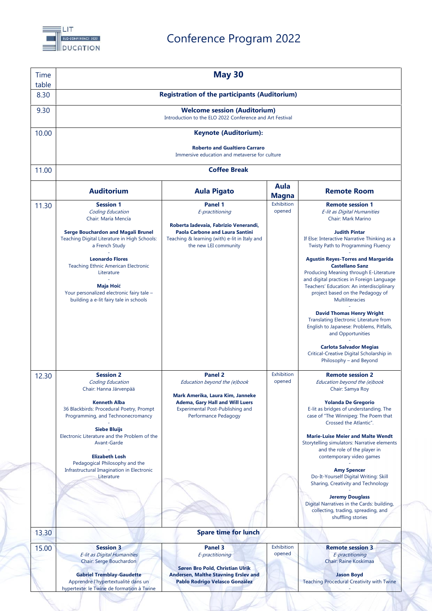

## Conference Program 2022

| <b>Time</b><br>table | <b>May 30</b>                                                                                                                                                                                                                                                                                                                                                                             |                                                                                                                                                                                                |                      |                                                                                                                                                                                                                                                                                                                                                                                                                                                                                                                                                                                                                                                                                                                             |  |  |
|----------------------|-------------------------------------------------------------------------------------------------------------------------------------------------------------------------------------------------------------------------------------------------------------------------------------------------------------------------------------------------------------------------------------------|------------------------------------------------------------------------------------------------------------------------------------------------------------------------------------------------|----------------------|-----------------------------------------------------------------------------------------------------------------------------------------------------------------------------------------------------------------------------------------------------------------------------------------------------------------------------------------------------------------------------------------------------------------------------------------------------------------------------------------------------------------------------------------------------------------------------------------------------------------------------------------------------------------------------------------------------------------------------|--|--|
| 8.30                 | <b>Registration of the participants (Auditorium)</b>                                                                                                                                                                                                                                                                                                                                      |                                                                                                                                                                                                |                      |                                                                                                                                                                                                                                                                                                                                                                                                                                                                                                                                                                                                                                                                                                                             |  |  |
| 9.30                 | <b>Welcome session (Auditorium)</b><br>Introduction to the ELO 2022 Conference and Art Festival                                                                                                                                                                                                                                                                                           |                                                                                                                                                                                                |                      |                                                                                                                                                                                                                                                                                                                                                                                                                                                                                                                                                                                                                                                                                                                             |  |  |
| 10.00                | <b>Keynote (Auditorium):</b>                                                                                                                                                                                                                                                                                                                                                              |                                                                                                                                                                                                |                      |                                                                                                                                                                                                                                                                                                                                                                                                                                                                                                                                                                                                                                                                                                                             |  |  |
|                      | <b>Roberto and Gualtiero Carraro</b><br>Immersive education and metaverse for culture                                                                                                                                                                                                                                                                                                     |                                                                                                                                                                                                |                      |                                                                                                                                                                                                                                                                                                                                                                                                                                                                                                                                                                                                                                                                                                                             |  |  |
| 11.00                | <b>Coffee Break</b>                                                                                                                                                                                                                                                                                                                                                                       |                                                                                                                                                                                                |                      |                                                                                                                                                                                                                                                                                                                                                                                                                                                                                                                                                                                                                                                                                                                             |  |  |
|                      | <b>Auditorium</b>                                                                                                                                                                                                                                                                                                                                                                         | <b>Aula Pigato</b>                                                                                                                                                                             | Aula<br><b>Magna</b> | <b>Remote Room</b>                                                                                                                                                                                                                                                                                                                                                                                                                                                                                                                                                                                                                                                                                                          |  |  |
| 11.30                | <b>Session 1</b><br>Coding Education<br>Chair: María Mencía<br><b>Serge Bouchardon and Magali Brunel</b><br>Teaching Digital Literature in High Schools:<br>a French Study<br><b>Leonardo Flores</b><br><b>Teaching Ethnic American Electronic</b><br>Literature<br><b>Maja Hoić</b><br>Your personalized electronic fairy tale -<br>building a e-lit fairy tale in schools               | <b>Panel 1</b><br>E-practitioning<br>Roberta Iadevaia, Fabrizio Venerandi,<br><b>Paola Carbone and Laura Santini</b><br>Teaching & learning (with) e-lit in Italy and<br>the new LEI community | Exhibition<br>opened | <b>Remote session 1</b><br>E-lit as Digital Humanities<br>Chair: Mark Marino<br><b>Judith Pintar</b><br>If Else: Interactive Narrative Thinking as a<br>Twisty Path to Programming Fluency<br><b>Agustín Reyes-Torres and Margarida</b><br><b>Castellano Sanz</b><br>Producing Meaning through E-Literature<br>and digital practices in Foreign Language<br>Teachers' Education: An interdisciplinary<br>project based on the Pedagogy of<br>Multiliteracies<br><b>David Thomas Henry Wright</b><br><b>Translating Electronic Literature from</b><br>English to Japanese: Problems, Pitfalls,<br>and Opportunities<br><b>Carlota Salvador Megias</b><br>Critical-Creative Digital Scholarship in<br>Philosophy - and Beyond |  |  |
| 12.30                | <b>Session 2</b><br><b>Coding Education</b><br>Chair: Hanna Järvenpää<br><b>Kenneth Alba</b><br>36 Blackbirds: Procedural Poetry, Prompt<br>Programming, and Technonecromancy<br><b>Siebe Bluijs</b><br>Electronic Literature and the Problem of the<br>Avant-Garde<br><b>Elizabeth Losh</b><br>Pedagogical Philosophy and the<br>Infrastructural Imagination in Electronic<br>Literature | <b>Panel 2</b><br>Education beyond the (e)book<br>Mark Amerika, Laura Kim, Janneke<br><b>Adema, Gary Hall and Will Luers</b><br>Experimental Post-Publishing and<br>Performance Pedagogy       | Exhibition<br>opened | <b>Remote session 2</b><br>Education beyond the (e)book<br>Chair: Samya Roy<br><b>Yolanda De Gregorio</b><br>E-lit as bridges of understanding. The<br>case of "The Winnipeg: The Poem that<br>Crossed the Atlantic".<br><b>Marie-Luise Meier and Malte Wendt</b><br>Storytelling simulators: Narrative elements<br>and the role of the player in<br>contemporary video games<br><b>Amy Spencer</b><br>Do-It-Yourself Digital Writing: Skill<br>Sharing, Creativity and Technology<br><b>Jeremy Douglass</b><br>Digital Narratives in the Cards: building,<br>collecting, trading, spreading, and<br>shuffling stories                                                                                                      |  |  |
| 13.30                |                                                                                                                                                                                                                                                                                                                                                                                           | <b>Spare time for lunch</b>                                                                                                                                                                    |                      |                                                                                                                                                                                                                                                                                                                                                                                                                                                                                                                                                                                                                                                                                                                             |  |  |
| 15.00                | <b>Session 3</b><br>E-lit as Digital Humanities                                                                                                                                                                                                                                                                                                                                           | Panel 3<br>E-practitioning                                                                                                                                                                     | Exhibition<br>opened | <b>Remote session 3</b><br>E-practitioning                                                                                                                                                                                                                                                                                                                                                                                                                                                                                                                                                                                                                                                                                  |  |  |
|                      | Chair: Serge Bouchardon<br><b>Gabriel Tremblay-Gaudette</b><br>Apprendre l'hypertextualité dans un<br>hypertexte: le Twine de formation à Twine                                                                                                                                                                                                                                           | Søren Bro Pold, Christian Ulrik<br><b>Andersen, Malthe Stavning Erslev and</b><br>Pablo Rodrigo Velasco González                                                                               |                      | Chair: Raine Koskimaa<br><b>Jason Boyd</b><br><b>Teaching Procedural Creativity with Twine</b>                                                                                                                                                                                                                                                                                                                                                                                                                                                                                                                                                                                                                              |  |  |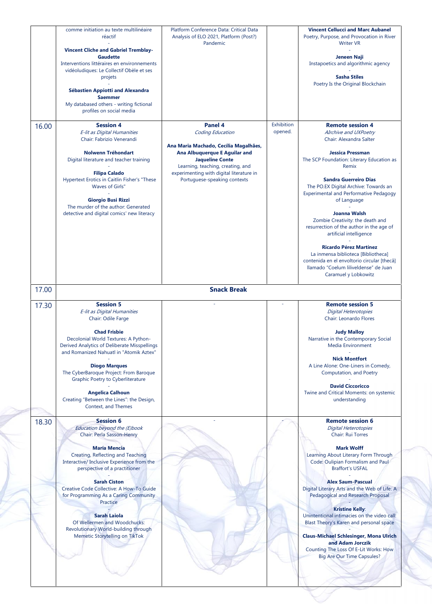|       | <b>Vincent Cliche and Gabriel Tremblay-</b><br><b>Gaudette</b><br>Interventions littéraires en environnements<br>vidéoludiques: Le Collectif Obèle et ses<br>projets<br><b>Sébastien Appiotti and Alexandra</b>                                 |                                                                                                                                                                                                                                                  |                       | Jeneen Naji<br>Instapoetics and algorithmic agency<br><b>Sasha Stiles</b>                                                                                                                                                                                                                                                      |
|-------|-------------------------------------------------------------------------------------------------------------------------------------------------------------------------------------------------------------------------------------------------|--------------------------------------------------------------------------------------------------------------------------------------------------------------------------------------------------------------------------------------------------|-----------------------|--------------------------------------------------------------------------------------------------------------------------------------------------------------------------------------------------------------------------------------------------------------------------------------------------------------------------------|
|       |                                                                                                                                                                                                                                                 |                                                                                                                                                                                                                                                  |                       |                                                                                                                                                                                                                                                                                                                                |
|       | <b>Saemmer</b><br>My databased others - writing fictional<br>profiles on social media                                                                                                                                                           |                                                                                                                                                                                                                                                  |                       | Poetry Is the Original Blockchain                                                                                                                                                                                                                                                                                              |
| 16.00 | <b>Session 4</b><br>E-lit as Digital Humanities<br>Chair: Fabrizio Venerandi<br><b>Nolwenn Tréhondart</b><br>Digital literature and teacher training<br><b>Filipa Calado</b><br>Hypertext Erotics in Caitlin Fisher's "These<br>Waves of Girls" | Panel 4<br>Coding Education<br>Ana Maria Machado, Cecília Magalhães,<br>Ana Albuquerque E Aguilar and<br><b>Jaqueline Conte</b><br>Learning, teaching, creating, and<br>experimenting with digital literature in<br>Portuguese-speaking contexts | Exhibition<br>opened. | <b>Remote session 4</b><br>AIrchive and UXPoetry<br>Chair: Alexandra Salter<br><b>Jessica Pressman</b><br>The SCP Foundation: Literary Education as<br>Remix<br><b>Sandra Guerreiro Dias</b><br>The PO.EX Digital Archive: Towards an<br><b>Experimental and Performative Pedagogy</b>                                         |
|       | <b>Giorgio Busi Rizzi</b><br>The murder of the author: Generated<br>detective and digital comics' new literacy                                                                                                                                  |                                                                                                                                                                                                                                                  |                       | of Language<br>Joanna Walsh<br>Zombie Creativity: the death and<br>resurrection of the author in the age of<br>artificial intelligence<br><b>Ricardo Pérez Martínez</b><br>La inmensa biblioteca [Bibliotheca]<br>contenida en el envoltorio circular [thecâ]<br>Ilamado "Coelum liliveldense" de Juan<br>Caramuel y Lobkowitz |
| 17.00 |                                                                                                                                                                                                                                                 | <b>Snack Break</b>                                                                                                                                                                                                                               |                       |                                                                                                                                                                                                                                                                                                                                |
| 17.30 | <b>Session 5</b><br>E-lit as Digital Humanities<br>Chair: Odile Farge                                                                                                                                                                           |                                                                                                                                                                                                                                                  |                       | <b>Remote session 5</b><br><b>Digital Heterotopies</b><br>Chair: Leonardo Flores                                                                                                                                                                                                                                               |
|       | <b>Chad Frisbie</b><br>Decolonial World Textures: A Python-<br>Derived Analytics of Deliberate Misspellings<br>and Romanized Nahuatl in "Atomik Aztex'                                                                                          |                                                                                                                                                                                                                                                  |                       | <b>Judy Malloy</b><br>Narrative in the Contemporary Social<br><b>Media Environment</b>                                                                                                                                                                                                                                         |
|       | <b>Diogo Marques</b><br>The CyberBaroque Project: From Baroque<br>Graphic Poetry to Cyberliterature                                                                                                                                             |                                                                                                                                                                                                                                                  |                       | <b>Nick Montfort</b><br>A Line Alone: One-Liners in Comedy,<br>Computation, and Poetry                                                                                                                                                                                                                                         |
|       | <b>Angelica Calhoun</b><br>Creating "Between the Lines": the Design,<br>Context, and Themes                                                                                                                                                     |                                                                                                                                                                                                                                                  |                       | <b>David Ciccoricco</b><br>Twine and Critical Moments: on systemic<br>understanding                                                                                                                                                                                                                                            |
| 18.30 | <b>Session 6</b><br>Education beyond the (E)book<br>Chair: Perla Sasson-Henry<br><b>María Mencía</b><br>Creating, Reflecting and Teaching                                                                                                       |                                                                                                                                                                                                                                                  |                       | <b>Remote session 6</b><br>Digital Heterotopies<br>Chair: Rui Torres<br><b>Mark Wolff</b>                                                                                                                                                                                                                                      |
|       | Interactive/ Inclusive Experience from the<br>perspective of a practitioner<br><b>Sarah Ciston</b>                                                                                                                                              |                                                                                                                                                                                                                                                  |                       | Learning About Literary Form Through<br>Code: Oulipian Formalism and Paul<br><b>Braffort's USFAL</b><br><b>Alex Saum-Pascual</b>                                                                                                                                                                                               |
|       | Creative Code Collective: A How-To Guide<br>for Programming As a Caring Community<br>Practice                                                                                                                                                   |                                                                                                                                                                                                                                                  |                       | Digital Literary Arts and the Web of Life: A<br>Pedagogical and Research Proposal<br><b>Kristine Kelly:</b>                                                                                                                                                                                                                    |
|       | <b>Sarah Laiola</b><br>Of Wellermen and Woodchucks:<br>Revolutionary World-building through<br>Memetic Storytelling on TikTok                                                                                                                   |                                                                                                                                                                                                                                                  |                       | Unintentional intimacies on the video call:<br>Blast Theory's Karen and personal space<br><b>Claus-Michael Schlesinger, Mona Ulrich</b>                                                                                                                                                                                        |
|       |                                                                                                                                                                                                                                                 |                                                                                                                                                                                                                                                  |                       | and Adam Jorczik                                                                                                                                                                                                                                                                                                               |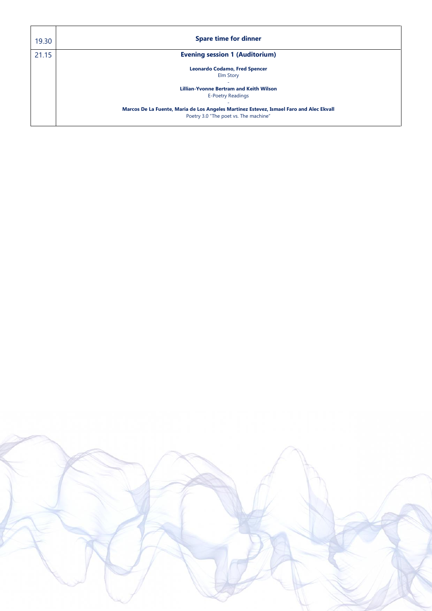| 19.30 | <b>Spare time for dinner</b>                                                                                                     |
|-------|----------------------------------------------------------------------------------------------------------------------------------|
| 21.15 | <b>Evening session 1 (Auditorium)</b>                                                                                            |
|       | <b>Leonardo Codamo, Fred Spencer</b><br><b>Elm Story</b>                                                                         |
|       | <b>Lillian-Yvonne Bertram and Keith Wilson</b>                                                                                   |
|       | <b>E-Poetry Readings</b>                                                                                                         |
|       | Marcos De La Fuente, Maria de Los Angeles Martinez Estevez, Ismael Faro and Alec Ekvall<br>Poetry 3.0 "The poet vs. The machine" |

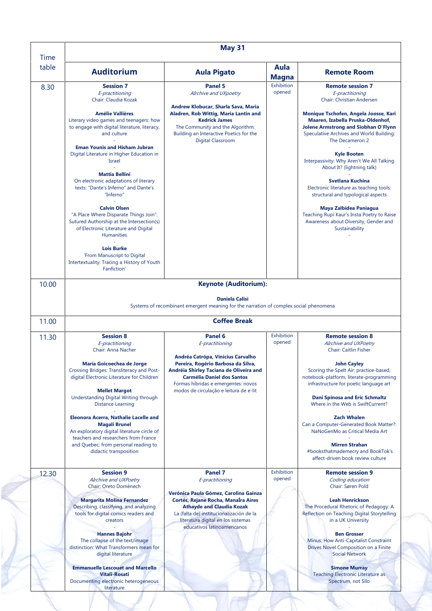| <b>Time</b> |                                                                                                                                                                         | May 31                                                                                                                                                                                                                            |                      |                                                                                                                                                                                          |
|-------------|-------------------------------------------------------------------------------------------------------------------------------------------------------------------------|-----------------------------------------------------------------------------------------------------------------------------------------------------------------------------------------------------------------------------------|----------------------|------------------------------------------------------------------------------------------------------------------------------------------------------------------------------------------|
| table       | <b>Auditorium</b>                                                                                                                                                       | <b>Aula Pigato</b>                                                                                                                                                                                                                | Aula<br><b>Magna</b> | <b>Remote Room</b>                                                                                                                                                                       |
| 8.30        | <b>Session 7</b><br>E-practitioning<br>Chair: Claudia Kozak                                                                                                             | Panel 5<br>AIrchive and UXpoetry                                                                                                                                                                                                  | Exhibition<br>opened | <b>Remote session 7</b><br>E-practitioning<br>Chair: Christian Andersen                                                                                                                  |
|             | <b>Amélie Vallières</b><br>Literary video games and teenagers: how<br>to engage with digital literature, literacy,<br>and culture                                       | Andrew Klobucar, Sharla Sava, Maria<br>Aladren, Rob Wittig, Maria Lantin and<br><b>Kedrick James</b><br>The Community and the Algorithm:<br>Building an Interactive Poetics for the<br>Digital Classroom                          |                      | Monique Tschofen, Angela Joosse, Kari<br>Maaren, Izabella Pruska-Oldenhof,<br><b>Jolene Armstrong and Siobhan O'Flynn</b><br>Speculative Archives and World Building:<br>The Decameron 2 |
|             | <b>Eman Younis and Hisham Jubran</b><br>Digital Literature in Higher Education in<br>Israel                                                                             |                                                                                                                                                                                                                                   |                      | <b>Kyle Booten</b><br>Interpassivity: Why Aren't We All Talking<br>About It? (lightning talk)                                                                                            |
|             | <b>Mattia Bellini</b><br>On electronic adaptations of literary<br>texts: "Dante's Inferno" and Dante's<br>"Inferno"                                                     |                                                                                                                                                                                                                                   |                      | <b>Svetlana Kuchina</b><br>Electronic literature as teaching tools:<br>structural and typological aspects                                                                                |
|             | <b>Calvin Olsen</b><br>"A Place Where Disparate Things Join":<br>Sutured Authorship at the Intersection(s)<br>of Electronic Literature and Digital<br><b>Humanities</b> |                                                                                                                                                                                                                                   |                      | Maya Zalbidea Paniagua<br>Teaching Rupi Kaur's Insta Poetry to Raise<br>Awareness about Diversity, Gender and<br>Sustainability                                                          |
|             | <b>Lois Burke</b><br>'From Manuscript to Digital<br>Intertextuality: Tracing a History of Youth<br>Fanfiction'                                                          |                                                                                                                                                                                                                                   |                      |                                                                                                                                                                                          |
| 10.00       |                                                                                                                                                                         | <b>Keynote (Auditorium):</b>                                                                                                                                                                                                      |                      |                                                                                                                                                                                          |
|             |                                                                                                                                                                         |                                                                                                                                                                                                                                   |                      |                                                                                                                                                                                          |
|             |                                                                                                                                                                         | <b>Daniela Calisi</b><br>Systems of recombinant emergent meaning for the narration of complex social phenomena<br><b>Coffee Break</b>                                                                                             |                      |                                                                                                                                                                                          |
| 11.00       |                                                                                                                                                                         |                                                                                                                                                                                                                                   |                      |                                                                                                                                                                                          |
| 11.30       | <b>Session 8</b><br>E-practitioning<br>Chair: Anna Nacher                                                                                                               | Panel 6<br>E-practitioning                                                                                                                                                                                                        | Exhibition<br>opened | <b>Remote session 8</b><br>AIrchive and UXPoetry<br><b>Chair: Caitlin Fisher</b>                                                                                                         |
|             | María Goicoechea de Jorge<br>Crossing Bridges: Transliteracy and Post-<br>digital Electronic Literature for Children                                                    | Andréa Catrópa, Vinícius Carvalho<br>Pereira, Rogério Barbosa da Silva,<br>Andréia Shirley Taciana de Oliveira and<br><b>Carmélia Daniel dos Santos</b><br>Formas híbridas e emergentes: novos                                    |                      | <b>John Cayley</b><br>Scoring the Spelt Air: practice-based,<br>notebook-platform, literate-programming<br>infrastructure for poetic language art                                        |
|             | <b>Mellet Margot</b><br>Understanding Digital Writing through<br><b>Distance Learning</b>                                                                               | modos de circulação e leitura de e-lit                                                                                                                                                                                            |                      | <b>Dani Spinosa and Eric Schmaltz</b><br>Where in the Web is SwiftCurrent?                                                                                                               |
|             | Eleonora Acerra, Nathalie Lacelle and<br><b>Magali Brunel</b><br>An exploratory digital literature circle of                                                            |                                                                                                                                                                                                                                   |                      | <b>Zach Whalen</b><br>Can a Computer-Generated Book Matter?:<br>NaNoGenMo as Critical Media Art                                                                                          |
|             | teachers and researchers from France<br>and Quebec: from personal reading to<br>didactic transposition                                                                  |                                                                                                                                                                                                                                   |                      | <b>Mirren Strahan</b><br>#booksthatmademecry and BookTok's<br>affect-driven book review culture                                                                                          |
| 12.30       | <b>Session 9</b><br>AIrchive and UXPoetry<br>Chair: Oreto Doménech                                                                                                      | <b>Panel 7</b><br>E-practitioning                                                                                                                                                                                                 | Exhibition<br>opened | <b>Remote session 9</b><br>Coding education<br>Chair: Søren Pold                                                                                                                         |
|             | <b>Margarita Molina Fernandez</b><br>Describing, classifying, and analyzing<br>tools for digital comics readers and<br>creators                                         | Verónica Paula Gómez, Carolina Gainza<br>Cortés, Rejane Rocha, ManaIra Aires<br><b>Athayde and Claudia Kozak</b><br>La (falta de) institucionalización de la<br>literatura digital en los sistemas<br>educativos latinoamericanos |                      | <b>Leah Henrickson</b><br>The Procedural Rhetoric of Pedagogy: A<br>Reflection on Teaching Digital Storytelling<br>in a UK University                                                    |
|             | <b>Hannes Bajohr</b><br>The collapse of the text/image<br>distinction: What Transformers mean for<br>digital literature                                                 |                                                                                                                                                                                                                                   |                      | <b>Ben Grosser</b><br>Minus: How Anti-Capitalist Constraint<br>Drives Novel Composition on a Finite<br><b>Social Network</b>                                                             |
|             | <b>Emmanuelle Lescouet and Marcello</b><br><b>Vitali-Rosati</b>                                                                                                         |                                                                                                                                                                                                                                   |                      | <b>Simone Murray</b><br><b>Teaching Electronic Literature as</b>                                                                                                                         |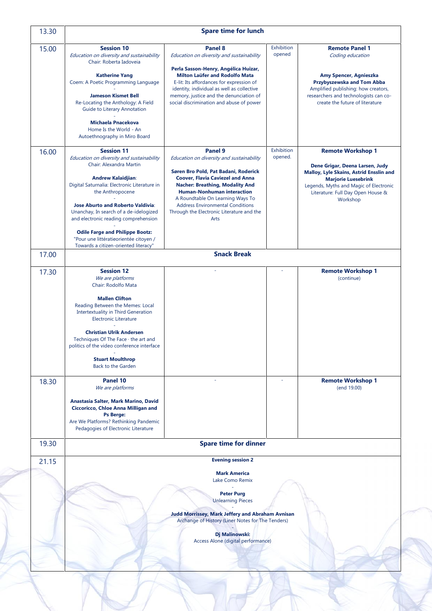| 13.30 | <b>Spare time for lunch</b>                                                                                                                                                                                                                                                                                                                                                                                                     |                                                                                                                                                                                                                                                                                                                                                 |                      |                                                                                                                                                                                                                      |  |
|-------|---------------------------------------------------------------------------------------------------------------------------------------------------------------------------------------------------------------------------------------------------------------------------------------------------------------------------------------------------------------------------------------------------------------------------------|-------------------------------------------------------------------------------------------------------------------------------------------------------------------------------------------------------------------------------------------------------------------------------------------------------------------------------------------------|----------------------|----------------------------------------------------------------------------------------------------------------------------------------------------------------------------------------------------------------------|--|
| 15.00 | <b>Session 10</b><br>Education on diversity and sustainability<br>Chair: Roberta Iadoveia<br><b>Katherine Yang</b><br>Coem: A Poetic Programming Language<br><b>Jameson Kismet Bell</b><br>Re-Locating the Anthology: A Field<br>Guide to Literary Annotation<br><b>Michaela Pnacekova</b>                                                                                                                                      | Panel 8<br>Education on diversity and sustainability<br>Perla Sasson-Henry, Angélica Huizar,<br>Milton Laüfer and Rodolfo Mata<br>E-lit: Its affordances for expression of<br>identity, individual as well as collective<br>memory, justice and the denunciation of<br>social discrimination and abuse of power                                 | Exhibition<br>opened | <b>Remote Panel 1</b><br>Coding education<br>Amy Spencer, Agnieszka<br>Przybyszewska and Tom Abba<br>Amplified publishing: how creators,<br>researchers and technologists can co-<br>create the future of literature |  |
| 16.00 | Home Is the World - An<br>Autoethnography in Miro Board<br><b>Session 11</b>                                                                                                                                                                                                                                                                                                                                                    | Panel 9                                                                                                                                                                                                                                                                                                                                         | Exhibition           | <b>Remote Workshop 1</b>                                                                                                                                                                                             |  |
|       | Education on diversity and sustainability<br>Chair: Alexandra Martin<br><b>Andrew Kalaidjian:</b><br>Digital Saturnalia: Electronic Literature in<br>the Anthropocene<br><b>Jose Aburto and Roberto Valdivia:</b><br>Unanchay, In search of a de-idelogized<br>and electronic reading comprehension<br><b>Odile Farge and Philippe Bootz:</b><br>"Pour une littératieorientée citoyen /<br>Towards a citizen-oriented literacy" | Education on diversity and sustainability<br>Søren Bro Pold, Pat Badani, Roderick<br><b>Coover, Flavia Caviezel and Anna</b><br><b>Nacher: Breathing, Modality And</b><br><b>Human-Nonhuman interaction</b><br>A Roundtable On Learning Ways To<br><b>Address Environmental Conditions</b><br>Through the Electronic Literature and the<br>Arts | opened.              | Dene Grigar, Deena Larsen, Judy<br>Malloy, Lyle Skains, Astrid Ensslin and<br><b>Marjorie Luesebrink</b><br>Legends, Myths and Magic of Electronic<br>Literature: Full Day Open House &<br>Workshop                  |  |
| 17.00 |                                                                                                                                                                                                                                                                                                                                                                                                                                 | <b>Snack Break</b>                                                                                                                                                                                                                                                                                                                              |                      |                                                                                                                                                                                                                      |  |
| 17.30 | <b>Session 12</b><br>We are platforms<br>Chair: Rodolfo Mata<br><b>Mallen Clifton</b><br>Reading Between the Memes: Local<br><b>Intertextuality in Third Generation</b><br><b>Electronic Literature</b><br><b>Christian Ulrik Andersen</b><br>Techniques Of The Face · the art and<br>politics of the video conference interface<br><b>Stuart Moulthrop</b><br><b>Back to the Garden</b>                                        |                                                                                                                                                                                                                                                                                                                                                 |                      | <b>Remote Workshop 1</b><br>(continue)                                                                                                                                                                               |  |
| 18.30 | Panel 10<br>We are platforms<br>Anastasia Salter, Mark Marino, David<br>Ciccoricco, Chloe Anna Milligan and<br><b>Ps Berge:</b><br>Are We Platforms? Rethinking Pandemic<br>Pedagogies of Electronic Literature                                                                                                                                                                                                                 |                                                                                                                                                                                                                                                                                                                                                 |                      | <b>Remote Workshop 1</b><br>(end 19.00)                                                                                                                                                                              |  |
| 19.30 | <b>Spare time for dinner</b>                                                                                                                                                                                                                                                                                                                                                                                                    |                                                                                                                                                                                                                                                                                                                                                 |                      |                                                                                                                                                                                                                      |  |
| 21.15 |                                                                                                                                                                                                                                                                                                                                                                                                                                 | <b>Evening session 2</b><br><b>Mark America</b><br>Lake Como Remix                                                                                                                                                                                                                                                                              |                      |                                                                                                                                                                                                                      |  |
|       |                                                                                                                                                                                                                                                                                                                                                                                                                                 | <b>Peter Purg</b><br><b>Unlearning Pieces</b><br><b>Judd Morrissey, Mark Jeffery and Abraham Avnisan</b><br>Archange of History (Liner Notes for The Tenders)<br>Dj Malinowski:<br>Access Alone (digital performance)                                                                                                                           |                      |                                                                                                                                                                                                                      |  |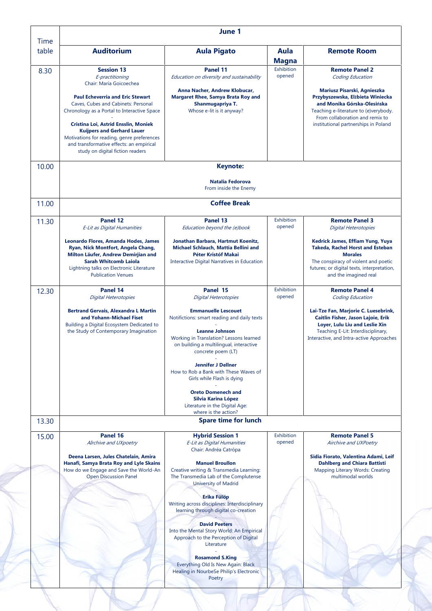| <b>Time</b> |                                                                                                                                                                                                                                                                                                                                                                                                             |                                                                                                                                                                                                                                                                                                                                                                        |                      |                                                                                                                                                                                                                                                                 |
|-------------|-------------------------------------------------------------------------------------------------------------------------------------------------------------------------------------------------------------------------------------------------------------------------------------------------------------------------------------------------------------------------------------------------------------|------------------------------------------------------------------------------------------------------------------------------------------------------------------------------------------------------------------------------------------------------------------------------------------------------------------------------------------------------------------------|----------------------|-----------------------------------------------------------------------------------------------------------------------------------------------------------------------------------------------------------------------------------------------------------------|
| table       | <b>Auditorium</b>                                                                                                                                                                                                                                                                                                                                                                                           | <b>Aula Pigato</b>                                                                                                                                                                                                                                                                                                                                                     | Aula<br><b>Magna</b> | <b>Remote Room</b>                                                                                                                                                                                                                                              |
| 8.30        | <b>Session 13</b><br>E-practitioning<br>Chair: María Goicoechea<br><b>Paul Echeverria and Eric Stewart</b><br>Caves, Cubes and Cabinets: Personal<br>Chronology as a Portal to Interactive Space<br>Cristina Loi, Astrid Ensslin, Moniek<br><b>Kuijpers and Gerhard Lauer</b><br>Motivations for reading, genre preferences<br>and transformative effects: an empirical<br>study on digital fiction readers | Panel 11<br>Education on diversity and sustainability<br>Anna Nacher, Andrew Klobucar,<br><b>Margaret Rhee, Samya Brata Roy and</b><br>Shanmugapriya T.<br>Whose e-lit is it anyway?                                                                                                                                                                                   | Exhibition<br>opened | <b>Remote Panel 2</b><br>Coding Education<br>Mariusz Pisarski, Agnieszka<br>Przybyszewska, Elżbieta Winiecka<br>and Monika Górska-Olesińska<br>Teaching e-literature to (e)verybody.<br>From collaboration and remix to<br>institutional partnerships in Poland |
| 10.00       |                                                                                                                                                                                                                                                                                                                                                                                                             | <b>Keynote:</b>                                                                                                                                                                                                                                                                                                                                                        |                      |                                                                                                                                                                                                                                                                 |
|             |                                                                                                                                                                                                                                                                                                                                                                                                             | Natalia Fedorova<br>From inside the Enemy                                                                                                                                                                                                                                                                                                                              |                      |                                                                                                                                                                                                                                                                 |
| 11.00       |                                                                                                                                                                                                                                                                                                                                                                                                             | <b>Coffee Break</b>                                                                                                                                                                                                                                                                                                                                                    |                      |                                                                                                                                                                                                                                                                 |
| 11.30       | Panel 12<br>E-Lit as Digital Humanities                                                                                                                                                                                                                                                                                                                                                                     | Panel 13<br>Education beyond the (e)book                                                                                                                                                                                                                                                                                                                               | Exhibition<br>opened | <b>Remote Panel 3</b><br><b>Digital Heterotopies</b>                                                                                                                                                                                                            |
|             | Leonardo Flores, Amanda Hodes, James<br>Ryan, Nick Montfort, Angela Chang,<br>Milton Läufer, Andrew Demirjian and<br><b>Sarah Whitcomb Laiola</b><br>Lightning talks on Electronic Literature<br><b>Publication Venues</b>                                                                                                                                                                                  | Jonathan Barbara, Hartmut Koenitz,<br>Michael Schlauch, Mattia Bellini and<br>Péter Kristóf Makai<br>Interactive Digital Narratives in Education                                                                                                                                                                                                                       |                      | Kedrick James, Effiam Yung, Yuya<br><b>Takeda, Rachel Horst and Esteban</b><br><b>Morales</b><br>The conspiracy of violent and poetic<br>futures; or digital texts, interpretation,<br>and the imagined real                                                    |
| 12.30       | Panel 14<br><b>Digital Heterotopies</b>                                                                                                                                                                                                                                                                                                                                                                     | Panel 15<br><b>Digital Heterotopies</b>                                                                                                                                                                                                                                                                                                                                | Exhibition<br>opened | <b>Remote Panel 4</b><br>Coding Education                                                                                                                                                                                                                       |
|             | <b>Bertrand Gervais, Alexandra L Martin</b><br>and Yohann-Michael Fiset<br>Building a Digital Ecosystem Dedicated to<br>the Study of Contemporary Imagination                                                                                                                                                                                                                                               | <b>Emmanuelle Lescouet</b><br>Notifictions: smart reading and daily texts<br><b>Leanne Johnson</b><br>Working in Translation? Lessons learned<br>on building a multilingual, interactive<br>concrete poem (LT)<br><b>Jennifer J Dellner</b><br>How to Rob a Bank with These Waves of<br>Girls while Flash is dying<br><b>Oreto Domenech and</b><br>Silvia Karina López |                      | Lai-Tze Fan, Marjorie C. Luesebrink,<br>Caitlin Fisher, Jason Lajoie, Erik<br>Loyer, Lulu Liu and Leslie Xin<br>Teaching E-Lit: Interdisciplinary,<br>Interactive, and Intra-active Approaches                                                                  |
| 13.30       |                                                                                                                                                                                                                                                                                                                                                                                                             | Literature in the Digital Age:<br>where is the action?<br><b>Spare time for lunch</b>                                                                                                                                                                                                                                                                                  |                      |                                                                                                                                                                                                                                                                 |
| 15.00       | Panel 16                                                                                                                                                                                                                                                                                                                                                                                                    | <b>Hybrid Session 1</b>                                                                                                                                                                                                                                                                                                                                                | Exhibition           | <b>Remote Panel 5</b>                                                                                                                                                                                                                                           |
|             | AIrchive and UXpoetry<br>Deena Larsen, Jules Chatelain, Amira<br>Hanafi, Samya Brata Roy and Lyle Skains<br>How do we Engage and Save the World-An<br><b>Open Discussion Panel</b>                                                                                                                                                                                                                          | E-Lit as Digital Humanities<br>Chair: Andréa Catrópa<br><b>Manuel Broullon</b><br>Creative writing & Transmedia Learning:<br>The Transmedia Lab of the Complutense<br>University of Madrid                                                                                                                                                                             | opened               | Airchive and UXPoetry<br>Sidia Fiorato, Valentina Adami, Leif<br><b>Dahlberg and Chiara Battisti</b><br>Mapping Literary Words: Creating<br>multimodal worlds                                                                                                   |
|             |                                                                                                                                                                                                                                                                                                                                                                                                             | <b>Erika Fülöp</b><br>Writing across disciplines: Interdisciplinary<br>learning through digital co-creation<br><b>David Peeters</b><br>Into the Mental Story World: An Empirical                                                                                                                                                                                       |                      |                                                                                                                                                                                                                                                                 |
|             |                                                                                                                                                                                                                                                                                                                                                                                                             | Approach to the Perception of Digital<br>Literature<br><b>Rosamond S.King</b><br>Everything Old Is New Again: Black<br>Healing in NourbeSe Philip's Electronic<br>Poetry                                                                                                                                                                                               |                      |                                                                                                                                                                                                                                                                 |